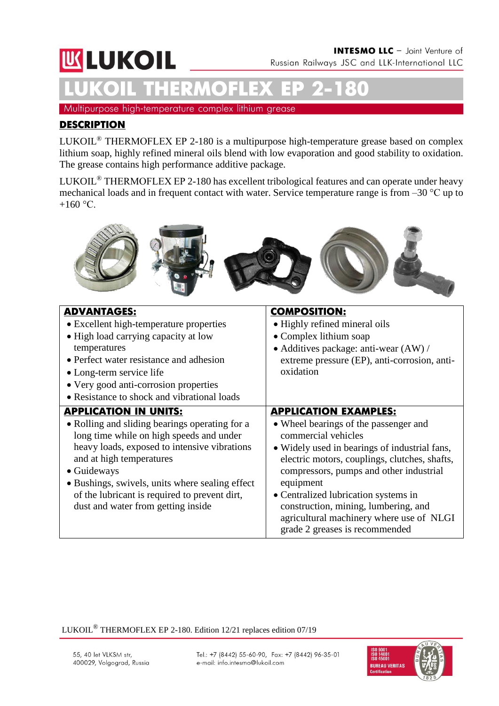# **WLUKOIL LUKOIL THERMOFLEX ЕР 2-180**

Multipurpose high-temperature complex lithium grease

#### **DESCRIPTION**

LUKOIL® THERMOFLEX ЕР 2-180 is a multipurpose high-temperature grease based on complex lithium soap, highly refined mineral oils blend with low evaporation and good stability to oxidation. The grease contains high performance additive package.

LUKOIL® THERMOFLEX ЕР 2-180 has excellent tribological features and can operate under heavy mechanical loads and in frequent contact with water. Service temperature range is from –30 °С up to +160 $\,^{\circ}$ C.



| <b>ADVANTAGES:</b><br>• Excellent high-temperature properties<br>• High load carrying capacity at low<br>temperatures<br>• Perfect water resistance and adhesion<br>• Long-term service life<br>• Very good anti-corrosion properties<br>• Resistance to shock and vibrational loads                                                                            | <b>COMPOSITION:</b><br>• Highly refined mineral oils<br>• Complex lithium soap<br>• Additives package: anti-wear (AW) /<br>extreme pressure (EP), anti-corrosion, anti-<br>oxidation                                                                                                                                                                                                                                 |
|-----------------------------------------------------------------------------------------------------------------------------------------------------------------------------------------------------------------------------------------------------------------------------------------------------------------------------------------------------------------|----------------------------------------------------------------------------------------------------------------------------------------------------------------------------------------------------------------------------------------------------------------------------------------------------------------------------------------------------------------------------------------------------------------------|
| <b>APPLICATION IN UNITS:</b><br>• Rolling and sliding bearings operating for a<br>long time while on high speeds and under<br>heavy loads, exposed to intensive vibrations<br>and at high temperatures<br>• Guideways<br>• Bushings, swivels, units where sealing effect<br>of the lubricant is required to prevent dirt,<br>dust and water from getting inside | <b>APPLICATION EXAMPLES:</b><br>• Wheel bearings of the passenger and<br>commercial vehicles<br>• Widely used in bearings of industrial fans,<br>electric motors, couplings, clutches, shafts,<br>compressors, pumps and other industrial<br>equipment<br>• Centralized lubrication systems in<br>construction, mining, lumbering, and<br>agricultural machinery where use of NLGI<br>grade 2 greases is recommended |

LUKOIL® THERMOFLEX EP 2-180. Edition 12/21 replaces edition 07/19